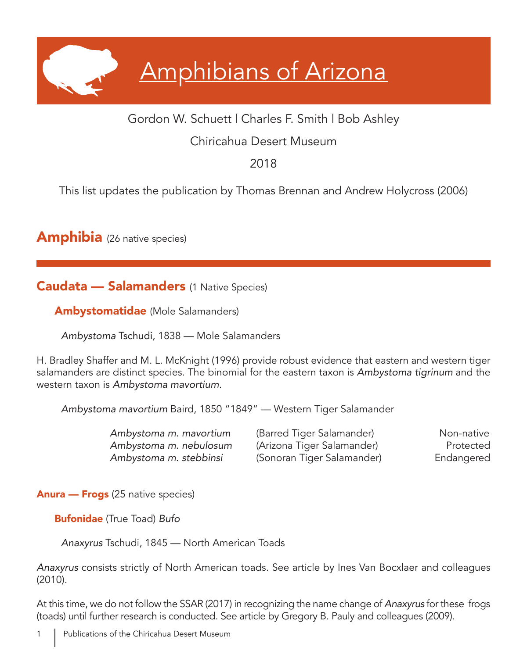# Amphibians of Arizona

## Gordon W. Schuett | Charles F. Smith | Bob Ashley

## Chiricahua Desert Museum

# 2018

This list updates the publication by Thomas Brennan and Andrew Holycross (2006)

**Amphibia** (26 native species)

Caudata — Salamanders (1 Native Species)

Ambystomatidae (Mole Salamanders)

*Ambystoma* Tschudi, 1838 — Mole Salamanders

H. Bradley Shaffer and M. L. McKnight (1996) provide robust evidence that eastern and western tiger salamanders are distinct species. The binomial for the eastern taxon is *Ambystoma tigrinum* and the western taxon is *Ambystoma mavortium*.

*Ambystoma mavortium* Baird, 1850 "1849" — Western Tiger Salamander

| Ambystoma m. mavortium | (Barred Tiger Salamander)  | Non-native |
|------------------------|----------------------------|------------|
| Ambystoma m. nebulosum | (Arizona Tiger Salamander) | Protected  |
| Ambystoma m. stebbinsi | (Sonoran Tiger Salamander) | Endangered |

Anura — Frogs (25 native species)

Bufonidae (True Toad) *Bufo* 

*Anaxyrus* Tschudi, 1845 — North American Toads

*Anaxyrus* consists strictly of North American toads. See article by Ines Van Bocxlaer and colleagues (2010).

At this time, we do not follow the SSAR (2017) in recognizing the name change of *Anaxyrus* for these frogs (toads) until further research is conducted. See article by Gregory B. Pauly and colleagues (2009).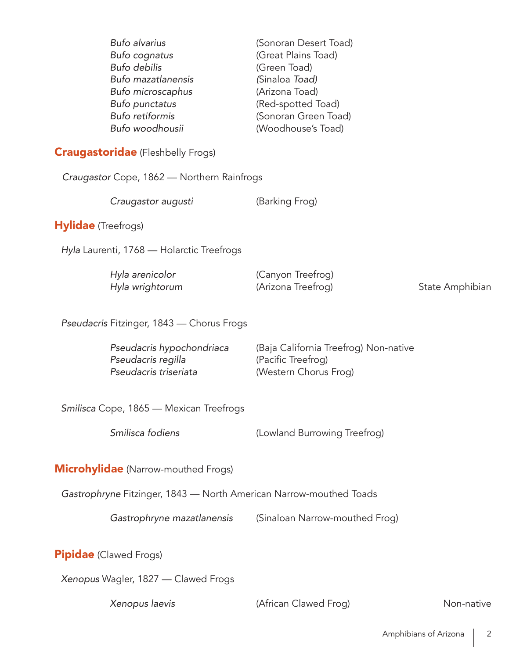| Craugastor Cope, 1862 - Northern Rainfrogs<br>Craugastor augusti<br>(Barking Frog)<br><b>Hylidae</b> (Treefrogs)<br>Hyla Laurenti, 1768 - Holarctic Treefrogs<br>Hyla arenicolor<br>(Canyon Treefrog)<br>Hyla wrightorum<br>(Arizona Treefrog)<br>State Amphibian<br>Pseudacris Fitzinger, 1843 - Chorus Frogs<br>Pseudacris hypochondriaca<br>(Baja California Treefrog) Non-native<br>Pseudacris regilla<br>(Pacific Treefrog)<br>Pseudacris triseriata<br>(Western Chorus Frog)<br>Smilisca Cope, 1865 - Mexican Treefrogs<br>Smilisca fodiens<br>(Lowland Burrowing Treefrog)<br><b>Microhylidae</b> (Narrow-mouthed Frogs)<br>Gastrophryne Fitzinger, 1843 - North American Narrow-mouthed Toads<br>Gastrophryne mazatlanensis<br>(Sinaloan Narrow-mouthed Frog)<br><b>Pipidae</b> (Clawed Frogs) | Bufo alvarius<br>Bufo cognatus<br><b>Bufo debilis</b><br>Bufo mazatlanensis<br>Bufo microscaphus<br>Bufo punctatus<br><b>Bufo retiformis</b><br>Bufo woodhousii<br><b>Craugastoridae</b> (Fleshbelly Frogs) | (Sonoran Desert Toad)<br>(Great Plains Toad)<br>(Green Toad)<br>(Sinaloa Toad)<br>(Arizona Toad)<br>(Red-spotted Toad)<br>(Sonoran Green Toad)<br>(Woodhouse's Toad) |  |
|--------------------------------------------------------------------------------------------------------------------------------------------------------------------------------------------------------------------------------------------------------------------------------------------------------------------------------------------------------------------------------------------------------------------------------------------------------------------------------------------------------------------------------------------------------------------------------------------------------------------------------------------------------------------------------------------------------------------------------------------------------------------------------------------------------|-------------------------------------------------------------------------------------------------------------------------------------------------------------------------------------------------------------|----------------------------------------------------------------------------------------------------------------------------------------------------------------------|--|
|                                                                                                                                                                                                                                                                                                                                                                                                                                                                                                                                                                                                                                                                                                                                                                                                        |                                                                                                                                                                                                             |                                                                                                                                                                      |  |
|                                                                                                                                                                                                                                                                                                                                                                                                                                                                                                                                                                                                                                                                                                                                                                                                        |                                                                                                                                                                                                             |                                                                                                                                                                      |  |
|                                                                                                                                                                                                                                                                                                                                                                                                                                                                                                                                                                                                                                                                                                                                                                                                        |                                                                                                                                                                                                             |                                                                                                                                                                      |  |
|                                                                                                                                                                                                                                                                                                                                                                                                                                                                                                                                                                                                                                                                                                                                                                                                        |                                                                                                                                                                                                             |                                                                                                                                                                      |  |
|                                                                                                                                                                                                                                                                                                                                                                                                                                                                                                                                                                                                                                                                                                                                                                                                        |                                                                                                                                                                                                             |                                                                                                                                                                      |  |
|                                                                                                                                                                                                                                                                                                                                                                                                                                                                                                                                                                                                                                                                                                                                                                                                        |                                                                                                                                                                                                             |                                                                                                                                                                      |  |
|                                                                                                                                                                                                                                                                                                                                                                                                                                                                                                                                                                                                                                                                                                                                                                                                        |                                                                                                                                                                                                             |                                                                                                                                                                      |  |
|                                                                                                                                                                                                                                                                                                                                                                                                                                                                                                                                                                                                                                                                                                                                                                                                        |                                                                                                                                                                                                             |                                                                                                                                                                      |  |
|                                                                                                                                                                                                                                                                                                                                                                                                                                                                                                                                                                                                                                                                                                                                                                                                        |                                                                                                                                                                                                             |                                                                                                                                                                      |  |
|                                                                                                                                                                                                                                                                                                                                                                                                                                                                                                                                                                                                                                                                                                                                                                                                        |                                                                                                                                                                                                             |                                                                                                                                                                      |  |
|                                                                                                                                                                                                                                                                                                                                                                                                                                                                                                                                                                                                                                                                                                                                                                                                        |                                                                                                                                                                                                             |                                                                                                                                                                      |  |
|                                                                                                                                                                                                                                                                                                                                                                                                                                                                                                                                                                                                                                                                                                                                                                                                        |                                                                                                                                                                                                             |                                                                                                                                                                      |  |
|                                                                                                                                                                                                                                                                                                                                                                                                                                                                                                                                                                                                                                                                                                                                                                                                        |                                                                                                                                                                                                             |                                                                                                                                                                      |  |
| Xenopus Wagler, 1827 - Clawed Frogs                                                                                                                                                                                                                                                                                                                                                                                                                                                                                                                                                                                                                                                                                                                                                                    |                                                                                                                                                                                                             |                                                                                                                                                                      |  |

*Xenopus laevis* **Example 2** (African Clawed Frog) Mon-native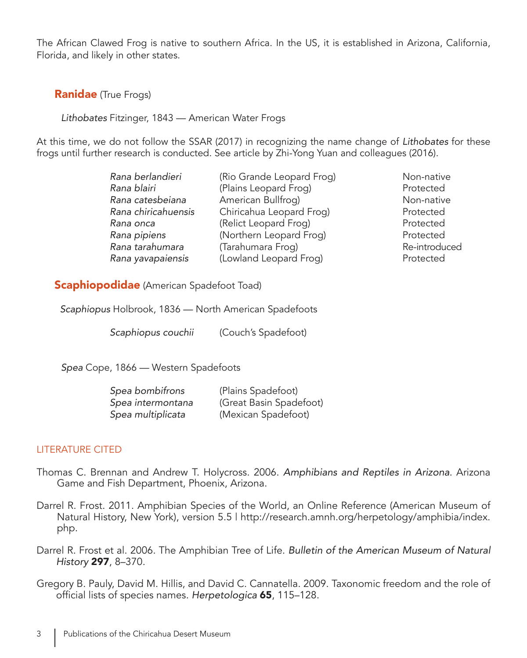The African Clawed Frog is native to southern Africa. In the US, it is established in Arizona, California, Florida, and likely in other states.

### **Ranidae** (True Frogs)

*Lithobates* Fitzinger, 1843 — American Water Frogs

At this time, we do not follow the SSAR (2017) in recognizing the name change of *Lithobates* for these frogs until further research is conducted. See article by Zhi-Yong Yuan and colleagues (2016).

| Rana berlandieri    | (Rio Grande Leopard Frog) | Non-native    |
|---------------------|---------------------------|---------------|
| Rana blairi         | (Plains Leopard Frog)     | Protected     |
| Rana catesbeiana    | American Bullfrog)        | Non-native    |
| Rana chiricahuensis | Chiricahua Leopard Frog)  | Protected     |
| Rana onca           | (Relict Leopard Frog)     | Protected     |
| Rana pipiens        | (Northern Leopard Frog)   | Protected     |
| Rana tarahumara     | (Tarahumara Frog)         | Re-introduced |
| Rana yavapaiensis   | (Lowland Leopard Frog)    | Protected     |

**Scaphiopodidae** (American Spadefoot Toad)

*Scaphiopus* Holbrook, 1836 — North American Spadefoots

 *Scaphiopus couchii* (Couch's Spadefoot)

*Spea* Cope, 1866 — Western Spadefoots

| Spea bombifrons   | (Plains Spadefoot)      |
|-------------------|-------------------------|
| Spea intermontana | (Great Basin Spadefoot) |
| Spea multiplicata | (Mexican Spadefoot)     |

#### LITERATURE CITED

- Thomas C. Brennan and Andrew T. Holycross. 2006. *Amphibians and Reptiles in Arizona*. Arizona Game and Fish Department, Phoenix, Arizona.
- Darrel R. Frost. 2011. Amphibian Species of the World, an Online Reference (American Museum of Natural History, New York), version 5.5 | http://research.amnh.org/herpetology/amphibia/index. php.
- Darrel R. Frost et al. 2006. The Amphibian Tree of Life. *Bulletin of the American Museum of Natural History* 297, 8–370.

Gregory B. Pauly, David M. Hillis, and David C. Cannatella. 2009. Taxonomic freedom and the role of official lists of species names. *Herpetologica* 65, 115–128.